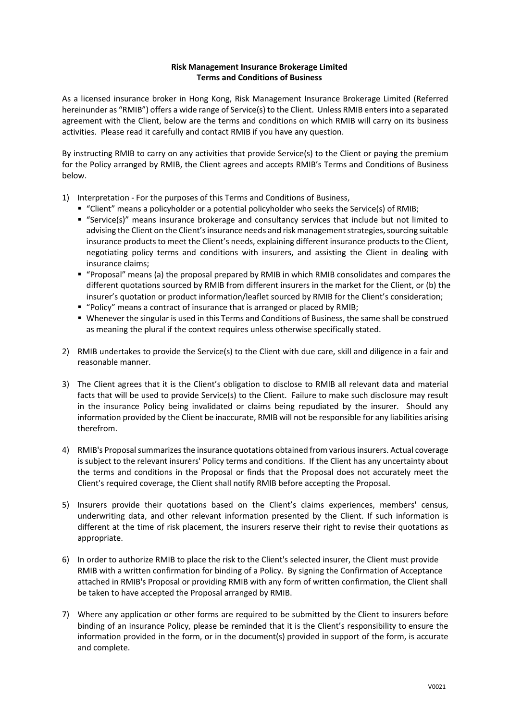## **Risk Management Insurance Brokerage Limited Terms and Conditions of Business**

As a licensed insurance broker in Hong Kong, Risk Management Insurance Brokerage Limited (Referred hereinunder as "RMIB") offers a wide range of Service(s) to the Client. Unless RMIB enters into a separated agreement with the Client, below are the terms and conditions on which RMIB will carry on its business activities. Please read it carefully and contact RMIB if you have any question.

By instructing RMIB to carry on any activities that provide Service(s) to the Client or paying the premium for the Policy arranged by RMIB, the Client agrees and accepts RMIB's Terms and Conditions of Business below.

- 1) Interpretation For the purposes of this Terms and Conditions of Business,
	- "Client" means a policyholder or a potential policyholder who seeks the Service(s) of RMIB;
	- § "Service(s)" means insurance brokerage and consultancy services that include but not limited to advising the Client on the Client's insurance needs and risk management strategies, sourcing suitable insurance products to meet the Client's needs, explaining different insurance products to the Client, negotiating policy terms and conditions with insurers, and assisting the Client in dealing with insurance claims;
	- § "Proposal" means (a) the proposal prepared by RMIB in which RMIB consolidates and compares the different quotations sourced by RMIB from different insurers in the market for the Client, or (b) the insurer's quotation or product information/leaflet sourced by RMIB for the Client's consideration;
	- § "Policy" means a contract of insurance that is arranged or placed by RMIB;
	- § Whenever the singular is used in this Terms and Conditions of Business, the same shall be construed as meaning the plural if the context requires unless otherwise specifically stated.
- 2) RMIB undertakes to provide the Service(s) to the Client with due care, skill and diligence in a fair and reasonable manner.
- 3) The Client agrees that it is the Client's obligation to disclose to RMIB all relevant data and material facts that will be used to provide Service(s) to the Client. Failure to make such disclosure may result in the insurance Policy being invalidated or claims being repudiated by the insurer. Should any information provided by the Client be inaccurate, RMIB will not be responsible for any liabilities arising therefrom.
- 4) RMIB's Proposal summarizes the insurance quotations obtained from various insurers. Actual coverage is subject to the relevant insurers' Policy terms and conditions. If the Client has any uncertainty about the terms and conditions in the Proposal or finds that the Proposal does not accurately meet the Client's required coverage, the Client shall notify RMIB before accepting the Proposal.
- 5) Insurers provide their quotations based on the Client's claims experiences, members' census, underwriting data, and other relevant information presented by the Client. If such information is different at the time of risk placement, the insurers reserve their right to revise their quotations as appropriate.
- 6) In order to authorize RMIB to place the risk to the Client's selected insurer, the Client must provide RMIB with a written confirmation for binding of a Policy. By signing the Confirmation of Acceptance attached in RMIB's Proposal or providing RMIB with any form of written confirmation, the Client shall be taken to have accepted the Proposal arranged by RMIB.
- 7) Where any application or other forms are required to be submitted by the Client to insurers before binding of an insurance Policy, please be reminded that it is the Client's responsibility to ensure the information provided in the form, or in the document(s) provided in support of the form, is accurate and complete.